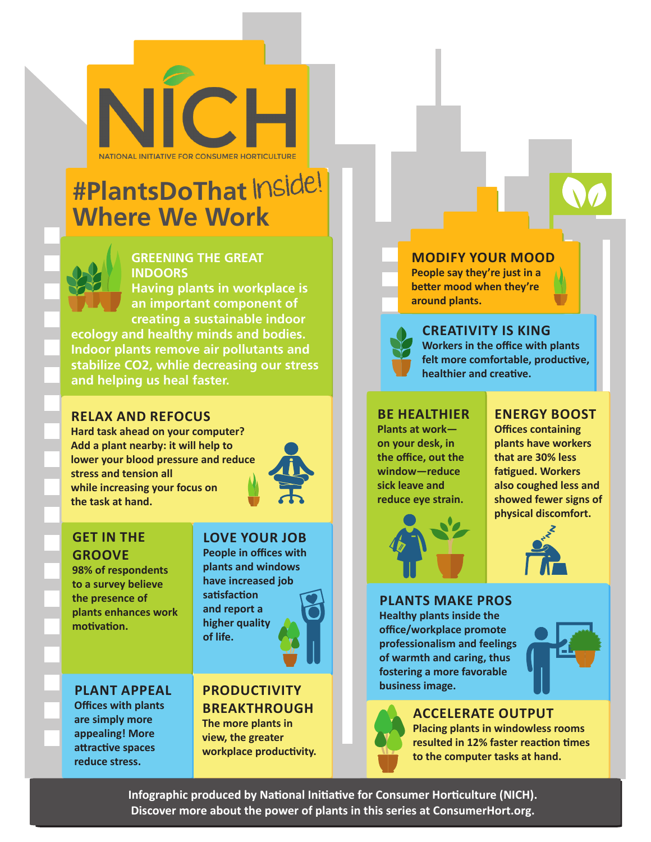NATIONAL INITIATIVE FOR CONSUMER HORTICULTURI

## **#PlantsDoThat** Inside! **Where We Work**



## **GREENING THE GREAT INDOORS**

**Having plants in workplace is an important component of creating a sustainable indoor ecology and healthy minds and bodies. Indoor plants remove air pollutants and stabilize CO2, whlie decreasing our stress and helping us heal faster.** 

#### **RELAX AND REFOCUS**

**Hard task ahead on your computer? Add a plant nearby: it will help to lower your blood pressure and reduce stress and tension all while increasing your focus on the task at hand.** 



### **GET IN THE GROOVE**

**98% of respondents to a survey believe the presence of plants enhances work motivation.**

## **LOVE YOUR JOB**

**People in offices with plants and windows have increased job satisfaction and report a higher quality of life.**

**PLANT APPEAL Offices with plants are simply more appealing! More attractive spaces reduce stress.** 

## **PRODUCTIVITY BREAKTHROUGH**

**The more plants in view, the greater workplace productivity.** **MODIFY YOUR MOOD People say they're just in a** 

**better mood when they're around plants.**



**CREATIVITY IS KING Workers in the office with plants felt more comfortable, productive, healthier and creative.**

#### **BE HEALTHIER**

**Plants at work on your desk, in the office, out the window—reduce sick leave and reduce eye strain.**



#### **ENERGY BOOST**

**Offices containing plants have workers that are 30% less fatigued. Workers also coughed less and showed fewer signs of physical discomfort.** 



#### **PLANTS MAKE PROS**

**Healthy plants inside the office/workplace promote professionalism and feelings of warmth and caring, thus fostering a more favorable business image.**





**ACCELERATE OUTPUT Placing plants in windowless rooms** 

**resulted in 12% faster reaction times to the computer tasks at hand.**

**Infographic produced by National Initiative for Consumer Horticulture (NICH). Discover more about the power of plants in this series at ConsumerHort.org.**